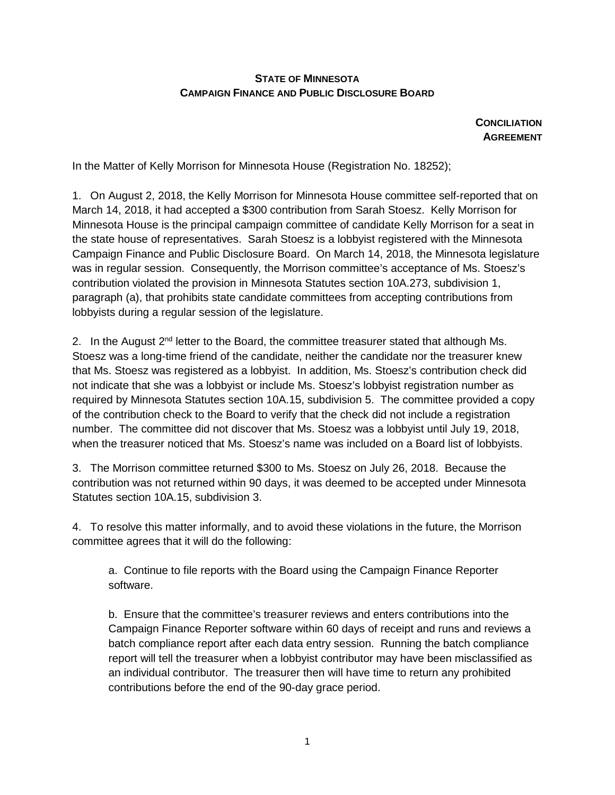## **STATE OF MINNESOTA CAMPAIGN FINANCE AND PUBLIC DISCLOSURE BOARD**

**CONCILIATION AGREEMENT**

In the Matter of Kelly Morrison for Minnesota House (Registration No. 18252);

1. On August 2, 2018, the Kelly Morrison for Minnesota House committee self-reported that on March 14, 2018, it had accepted a \$300 contribution from Sarah Stoesz. Kelly Morrison for Minnesota House is the principal campaign committee of candidate Kelly Morrison for a seat in the state house of representatives. Sarah Stoesz is a lobbyist registered with the Minnesota Campaign Finance and Public Disclosure Board. On March 14, 2018, the Minnesota legislature was in regular session. Consequently, the Morrison committee's acceptance of Ms. Stoesz's contribution violated the provision in Minnesota Statutes section 10A.273, subdivision 1, paragraph (a), that prohibits state candidate committees from accepting contributions from lobbyists during a regular session of the legislature.

2. In the August 2<sup>nd</sup> letter to the Board, the committee treasurer stated that although Ms. Stoesz was a long-time friend of the candidate, neither the candidate nor the treasurer knew that Ms. Stoesz was registered as a lobbyist. In addition, Ms. Stoesz's contribution check did not indicate that she was a lobbyist or include Ms. Stoesz's lobbyist registration number as required by Minnesota Statutes section 10A.15, subdivision 5. The committee provided a copy of the contribution check to the Board to verify that the check did not include a registration number. The committee did not discover that Ms. Stoesz was a lobbyist until July 19, 2018, when the treasurer noticed that Ms. Stoesz's name was included on a Board list of lobbyists.

3. The Morrison committee returned \$300 to Ms. Stoesz on July 26, 2018. Because the contribution was not returned within 90 days, it was deemed to be accepted under Minnesota Statutes section 10A.15, subdivision 3.

4. To resolve this matter informally, and to avoid these violations in the future, the Morrison committee agrees that it will do the following:

a. Continue to file reports with the Board using the Campaign Finance Reporter software.

b. Ensure that the committee's treasurer reviews and enters contributions into the Campaign Finance Reporter software within 60 days of receipt and runs and reviews a batch compliance report after each data entry session. Running the batch compliance report will tell the treasurer when a lobbyist contributor may have been misclassified as an individual contributor. The treasurer then will have time to return any prohibited contributions before the end of the 90-day grace period.